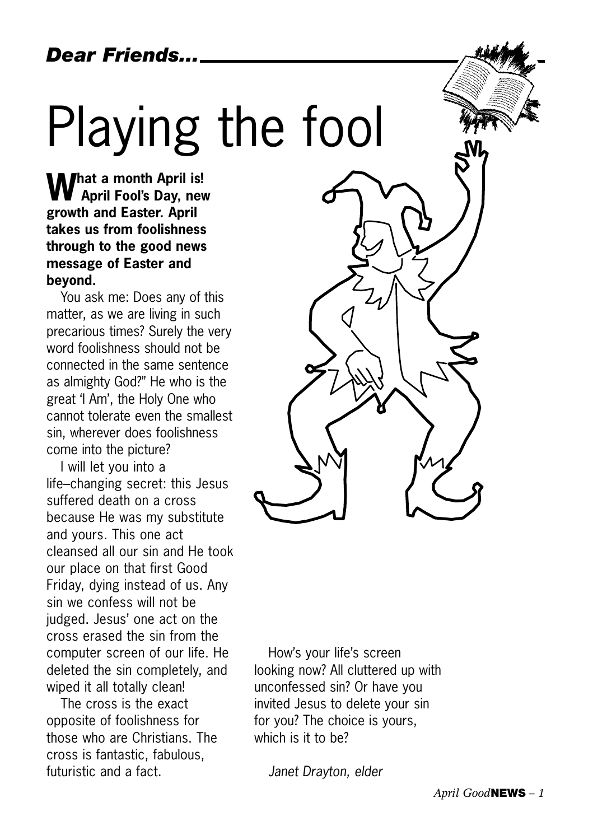*Dear Friends...*

# Playing the fool

**What a month April is! April Fool's Day, new growth and Easter. April takes us from foolishness through to the good news message of Easter and beyond.** 

You ask me: Does any of this matter, as we are living in such precarious times? Surely the very word foolishness should not be connected in the same sentence as almighty God?" He who is the great 'I Am', the Holy One who cannot tolerate even the smallest sin, wherever does foolishness come into the picture?

I will let you into a life–changing secret: this Jesus suffered death on a cross because He was my substitute and yours. This one act cleansed all our sin and He took our place on that first Good Friday, dying instead of us. Any sin we confess will not be judged. Jesus' one act on the cross erased the sin from the computer screen of our life. He deleted the sin completely, and wiped it all totally clean!

The cross is the exact opposite of foolishness for those who are Christians. The cross is fantastic, fabulous, futuristic and a fact.



How's your life's screen looking now? All cluttered up with unconfessed sin? Or have you invited Jesus to delete your sin for you? The choice is yours, which is it to be?

*Janet Drayton, elder*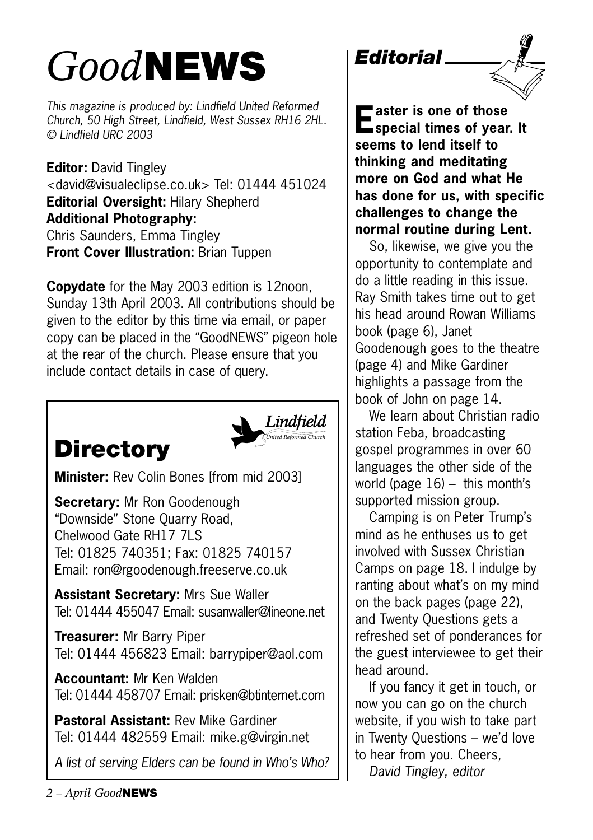## *Good***NEWS**

*This magazine is produced by: Lindfield United Reformed Church, 50 High Street, Lindfield, West Sussex RH16 2HL. © Lindfield URC 2003*

**Editor:** David Tingley <david@visualeclipse.co.uk> Tel: 01444 451024 **Editorial Oversight:** Hilary Shepherd **Additional Photography:** Chris Saunders, Emma Tingley **Front Cover Illustration: Brian Tuppen** 

**Copydate** for the May 2003 edition is 12noon, Sunday 13th April 2003. All contributions should be given to the editor by this time via email, or paper copy can be placed in the "GoodNEWS" pigeon hole at the rear of the church. Please ensure that you include contact details in case of query.

### **Directory**



**Minister:** Rev Colin Bones [from mid 2003]

**Secretary:** Mr Ron Goodenough "Downside" Stone Quarry Road, Chelwood Gate RH17 7LS Tel: 01825 740351; Fax: 01825 740157 Email: ron@rgoodenough.freeserve.co.uk

**Assistant Secretary:** Mrs Sue Waller Tel: 01444 455047 Email: susanwaller@lineone.net

**Treasurer:** Mr Barry Piper Tel: 01444 456823 Email: barrypiper@aol.com

**Accountant:** Mr Ken Walden Tel: 01444 458707 Email: prisken@btinternet.com

**Pastoral Assistant:** Rev Mike Gardiner Tel: 01444 482559 Email: mike.g@virgin.net

*A list of serving Elders can be found in Who's Who?*



**Easter is one of those special times of year. It seems to lend itself to thinking and meditating more on God and what He has done for us, with specific challenges to change the normal routine during Lent.**

So, likewise, we give you the opportunity to contemplate and do a little reading in this issue. Ray Smith takes time out to get his head around Rowan Williams book (page 6), Janet Goodenough goes to the theatre (page 4) and Mike Gardiner highlights a passage from the book of John on page 14.

We learn about Christian radio station Feba, broadcasting gospel programmes in over 60 languages the other side of the world (page  $16$ ) – this month's supported mission group.

Camping is on Peter Trump's mind as he enthuses us to get involved with Sussex Christian Camps on page 18. I indulge by ranting about what's on my mind on the back pages (page 22), and Twenty Questions gets a refreshed set of ponderances for the guest interviewee to get their head around.

If you fancy it get in touch, or now you can go on the church website, if you wish to take part in Twenty Questions – we'd love to hear from you. Cheers,

*David Tingley, editor*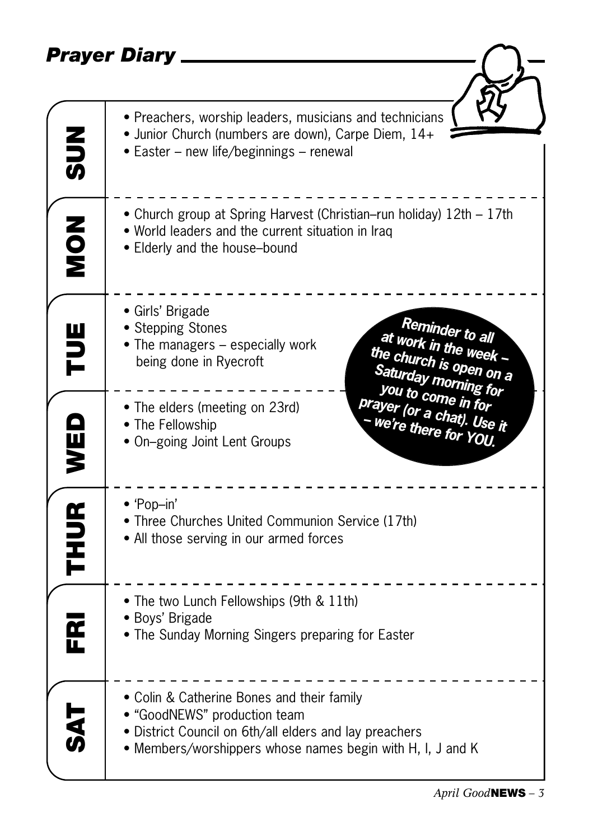#### *Prayer Diary*

|             | Prayer Diary                                                                                                                                                                                       |
|-------------|----------------------------------------------------------------------------------------------------------------------------------------------------------------------------------------------------|
|             |                                                                                                                                                                                                    |
| $rac{2}{5}$ | • Preachers, worship leaders, musicians and technicians<br>• Junior Church (numbers are down), Carpe Diem, 14+<br>• Easter – new life/beginnings – renewal                                         |
| <b>NON</b>  | • Church group at Spring Harvest (Christian–run holiday) 12th – 17th<br>• World leaders and the current situation in Iraq<br>• Elderly and the house-bound                                         |
| Ë           | · Girls' Brigade<br>Reminder to all<br>• Stepping Stones<br>at work in the week -<br>• The managers – especially work<br>the church is open on a<br>being done in Ryecroft<br>Saturday morning for |
| WED         | you to come in for<br>prayer (or a chat). Use it<br>• The elders (meeting on 23rd)<br>we're there for YOU.<br>• The Fellowship<br>• On-going Joint Lent Groups                                     |
| <b>THUR</b> | $\bullet$ 'Pop-in'<br>• Three Churches United Communion Service (17th)<br>• All those serving in our armed forces                                                                                  |
| ᅊ           | • The two Lunch Fellowships (9th & 11th)<br>· Boys' Brigade<br>• The Sunday Morning Singers preparing for Easter                                                                                   |
|             | • Colin & Catherine Bones and their family<br>• "GoodNEWS" production team<br>• District Council on 6th/all elders and lay preachers<br>• Members/worshippers whose names begin with H, I, J and K |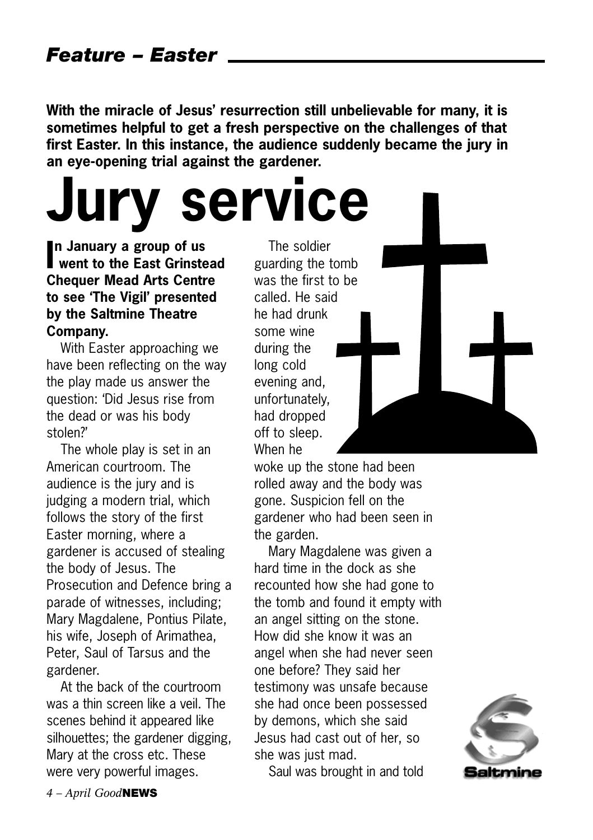**With the miracle of Jesus' resurrection still unbelievable for many, it is sometimes helpful to get a fresh perspective on the challenges of that first Easter. In this instance, the audience suddenly became the jury in an eye-opening trial against the gardener.** 

**I went to the East Grinstead n January a group of us Jury service**

#### **Chequer Mead Arts Centre to see 'The Vigil' presented by the Saltmine Theatre Company.**

With Easter approaching we have been reflecting on the way the play made us answer the question: 'Did Jesus rise from the dead or was his body stolen?'

The whole play is set in an American courtroom. The audience is the jury and is judging a modern trial, which follows the story of the first Easter morning, where a gardener is accused of stealing the body of Jesus. The Prosecution and Defence bring a parade of witnesses, including; Mary Magdalene, Pontius Pilate, his wife, Joseph of Arimathea, Peter, Saul of Tarsus and the gardener.

At the back of the courtroom was a thin screen like a veil. The scenes behind it appeared like silhouettes; the gardener digging, Mary at the cross etc. These were very powerful images.

The soldier guarding the tomb was the first to be called. He said he had drunk some wine during the long cold evening and, unfortunately, had dropped off to sleep. When he

woke up the stone had been rolled away and the body was gone. Suspicion fell on the gardener who had been seen in the garden.

Mary Magdalene was given a hard time in the dock as she recounted how she had gone to the tomb and found it empty with an angel sitting on the stone. How did she know it was an angel when she had never seen one before? They said her testimony was unsafe because she had once been possessed by demons, which she said Jesus had cast out of her, so she was just mad.

Saul was brought in and told

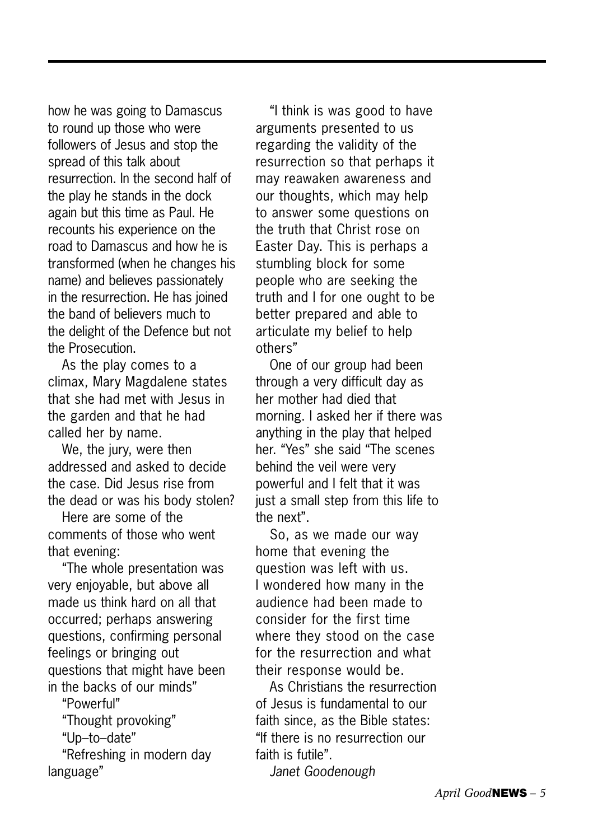how he was going to Damascus to round up those who were followers of Jesus and stop the spread of this talk about resurrection. In the second half of the play he stands in the dock again but this time as Paul. He recounts his experience on the road to Damascus and how he is transformed (when he changes his name) and believes passionately in the resurrection. He has joined the band of believers much to the delight of the Defence but not the Prosecution.

As the play comes to a climax, Mary Magdalene states that she had met with Jesus in the garden and that he had called her by name.

We, the jury, were then addressed and asked to decide the case. Did Jesus rise from the dead or was his body stolen?

Here are some of the comments of those who went that evening:

"The whole presentation was very enjoyable, but above all made us think hard on all that occurred; perhaps answering questions, confirming personal feelings or bringing out questions that might have been in the backs of our minds"

"Powerful"

"Thought provoking"

"Up–to–date"

"Refreshing in modern day language"

"I think is was good to have arguments presented to us regarding the validity of the resurrection so that perhaps it may reawaken awareness and our thoughts, which may help to answer some questions on the truth that Christ rose on Easter Day. This is perhaps a stumbling block for some people who are seeking the truth and I for one ought to be better prepared and able to articulate my belief to help others"

One of our group had been through a very difficult day as her mother had died that morning. I asked her if there was anything in the play that helped her. "Yes" she said "The scenes behind the veil were very powerful and I felt that it was just a small step from this life to the next".

So, as we made our way home that evening the question was left with us. I wondered how many in the audience had been made to consider for the first time where they stood on the case for the resurrection and what their response would be.

As Christians the resurrection of Jesus is fundamental to our faith since, as the Bible states: "If there is no resurrection our faith is futile".

*Janet Goodenough*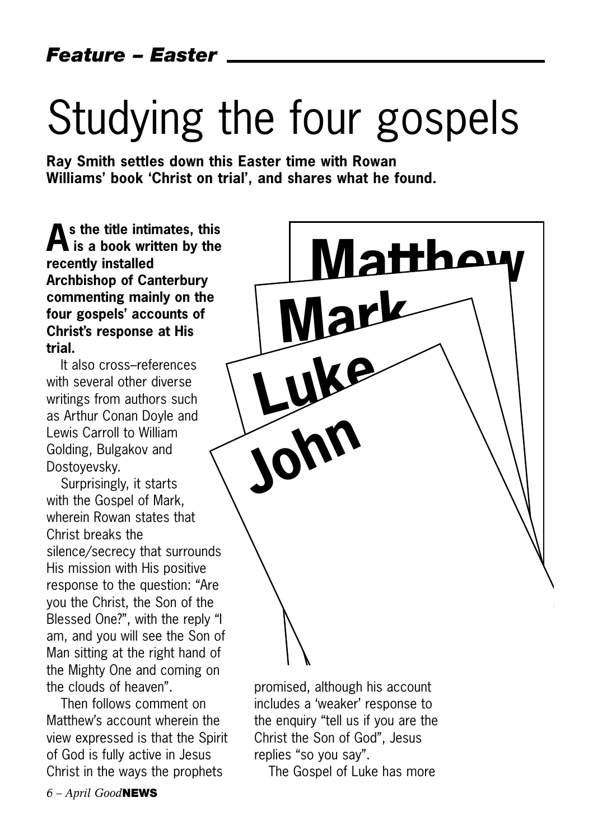## Studying the four gospels

**Matthew**

**Ray Smith settles down this Easter time with Rowan Williams' book 'Christ on trial', and shares what he found.**

**As the title intimates, this is a book written by the recently installed Archbishop of Canterbury commenting mainly on the four gospels' accounts of Christ's response at His trial.** 

It also cross–references with several other diverse writings from authors such as Arthur Conan Doyle and Lewis Carroll to William Golding, Bulgakov and Dostoyevsky.

Surprisingly, it starts with the Gospel of Mark, wherein Rowan states that Christ breaks the silence/secrecy that surrounds His mission with His positive response to the question: "Are you the Christ, the Son of the Blessed One?", with the reply "I am, and you will see the Son of Man sitting at the right hand of the Mighty One and coming on the clouds of heaven".

Then follows comment on Matthew's account wherein the view expressed is that the Spirit of God is fully active in Jesus Christ in the ways the prophets

promised, although his account includes a 'weaker' response to the enquiry "tell us if you are the Christ the Son of God", Jesus replies "so you say".

**Mark**

**Luke**

**John**

The Gospel of Luke has more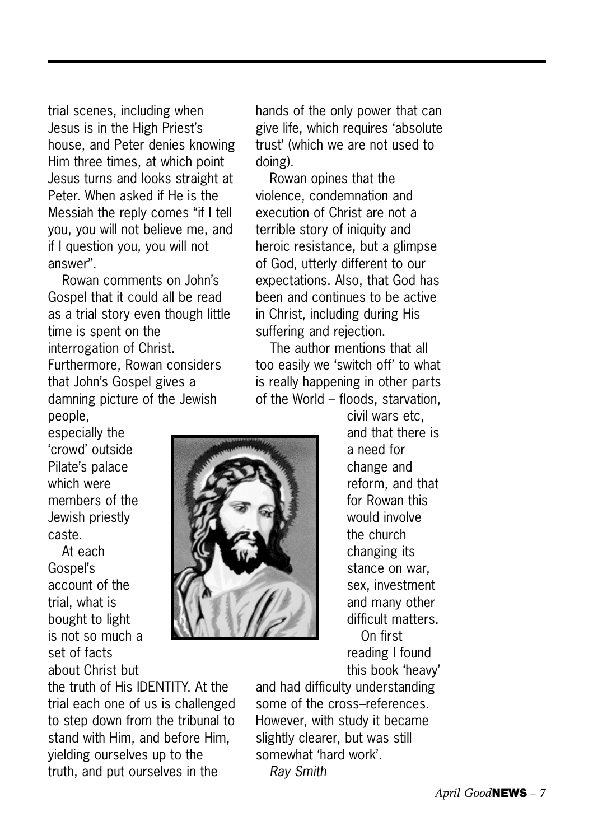trial scenes, including when Jesus is in the High Priest's house, and Peter denies knowing Him three times, at which point Jesus turns and looks straight at Peter. When asked if He is the Messiah the reply comes "if I tell you, you will not believe me, and if I question you, you will not answer".

Rowan comments on John's Gospel that it could all be read as a trial story even though little time is spent on the interrogation of Christ. Furthermore, Rowan considers that John's Gospel gives a damning picture of the Jewish people,

especially the 'crowd' outside Pilate's palace which were members of the Jewish priestly caste.

At each Gospel's account of the trial, what is bought to light is not so much a set of facts about Christ but

the truth of His IDENTITY. At the trial each one of us is challenged to step down from the tribunal to stand with Him, and before Him, yielding ourselves up to the truth, and put ourselves in the

hands of the only power that can give life, which requires 'absolute trust' (which we are not used to doing).

Rowan opines that the violence, condemnation and execution of Christ are not a terrible story of iniquity and heroic resistance, but a glimpse of God, utterly different to our expectations. Also, that God has been and continues to be active in Christ, including during His suffering and rejection.

The author mentions that all too easily we 'switch off' to what is really happening in other parts of the World – floods, starvation,



civil wars etc, and that there is a need for change and reform, and that for Rowan this would involve the church changing its stance on war, sex, investment and many other difficult matters. On first reading I found this book 'heavy'

and had difficulty understanding some of the cross–references. However, with study it became slightly clearer, but was still somewhat 'hard work'. *Ray Smith*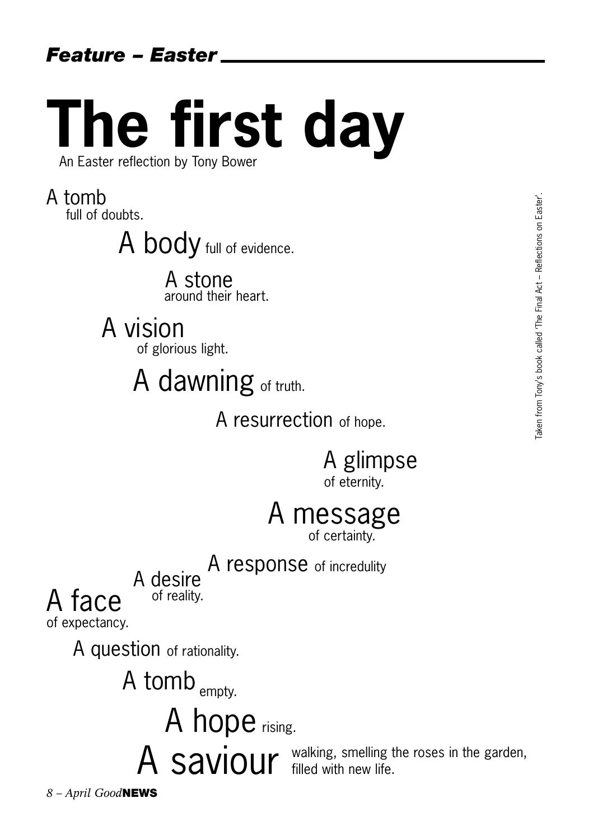# **The first day**

An Easter reflection by Tony Bower

A tomb full of doubts.

A body full of evidence.

A stone around their heart.

## A vision

of glorious light.

A dawning of truth.

A resurrection of hope.

A glimpse of eternity.

## A message

of certainty.

## A response of incredulity<br>A desire

of reality.

A face of expectancy.

A question of rationality.

A tomb <sub>empty.</sub>

A hope rising.

A Saviour walking, smelling the roses in the garden, filled with new life.

*8 – April Good***NEWS**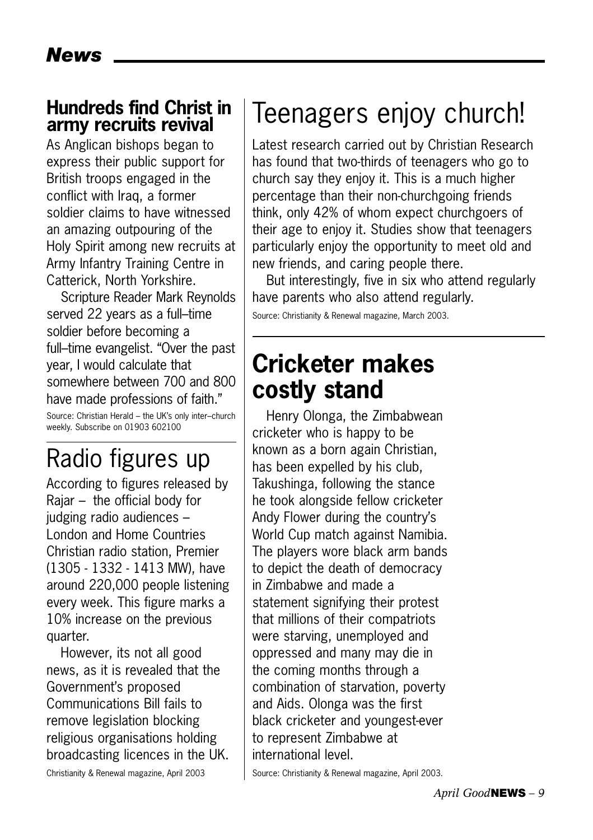#### **Hundreds find Christ in army recruits revival**

As Anglican bishops began to express their public support for British troops engaged in the conflict with Iraq, a former soldier claims to have witnessed an amazing outpouring of the Holy Spirit among new recruits at Army Infantry Training Centre in Catterick, North Yorkshire.

Scripture Reader Mark Reynolds served 22 years as a full–time soldier before becoming a full–time evangelist. "Over the past year, I would calculate that somewhere between 700 and 800 have made professions of faith." Source: Christian Herald – the UK's only inter–church weekly. Subscribe on 01903 602100

### Radio figures up

According to figures released by Rajar – the official body for judging radio audiences – London and Home Countries Christian radio station, Premier (1305 - 1332 - 1413 MW), have around 220,000 people listening every week. This figure marks a 10% increase on the previous quarter.

However, its not all good news, as it is revealed that the Government's proposed Communications Bill fails to remove legislation blocking religious organisations holding broadcasting licences in the UK.

#### Christianity & Renewal magazine, April 2003

## Teenagers enjoy church!

Latest research carried out by Christian Research has found that two-thirds of teenagers who go to church say they enjoy it. This is a much higher percentage than their non-churchgoing friends think, only 42% of whom expect churchgoers of their age to enjoy it. Studies show that teenagers particularly enjoy the opportunity to meet old and new friends, and caring people there.

But interestingly, five in six who attend regularly have parents who also attend regularly.

Source: Christianity & Renewal magazine, March 2003.

### **Cricketer makes costly stand**

Henry Olonga, the Zimbabwean cricketer who is happy to be known as a born again Christian, has been expelled by his club, Takushinga, following the stance he took alongside fellow cricketer Andy Flower during the country's World Cup match against Namibia. The players wore black arm bands to depict the death of democracy in Zimbabwe and made a statement signifying their protest that millions of their compatriots were starving, unemployed and oppressed and many may die in the coming months through a combination of starvation, poverty and Aids. Olonga was the first black cricketer and youngest-ever to represent Zimbabwe at international level.

Source: Christianity & Renewal magazine, April 2003.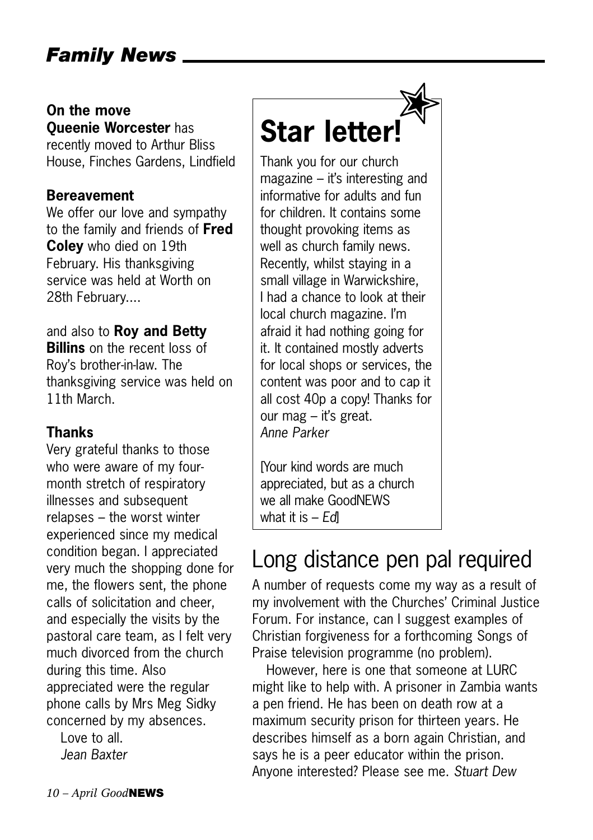#### *Family News*

#### **On the move Queenie Worcester** has

recently moved to Arthur Bliss House, Finches Gardens, Lindfield

#### **Bereavement**

We offer our love and sympathy to the family and friends of **Fred Coley** who died on 19th February. His thanksgiving service was held at Worth on 28th February....

#### and also to **Roy and Betty Billins** on the recent loss of Roy's brother-in-law. The

thanksgiving service was held on 11th March.

#### **Thanks**

Very grateful thanks to those who were aware of my fourmonth stretch of respiratory illnesses and subsequent relapses – the worst winter experienced since my medical condition began. I appreciated very much the shopping done for me, the flowers sent, the phone calls of solicitation and cheer, and especially the visits by the pastoral care team, as I felt very much divorced from the church during this time. Also appreciated were the regular phone calls by Mrs Meg Sidky concerned by my absences.

Love to all. *Jean Baxter*

## **Star letter!**

Thank you for our church magazine – it's interesting and informative for adults and fun for children. It contains some thought provoking items as well as church family news. Recently, whilst staying in a small village in Warwickshire, I had a chance to look at their local church magazine. I'm afraid it had nothing going for it. It contained mostly adverts for local shops or services, the content was poor and to cap it all cost 40p a copy! Thanks for our mag – it's great. *Anne Parker*

[Your kind words are much appreciated, but as a church we all make GoodNEWS what it is – *Ed*]

### Long distance pen pal required

A number of requests come my way as a result of my involvement with the Churches' Criminal Justice Forum. For instance, can I suggest examples of Christian forgiveness for a forthcoming Songs of Praise television programme (no problem).

However, here is one that someone at LURC might like to help with. A prisoner in Zambia wants a pen friend. He has been on death row at a maximum security prison for thirteen years. He describes himself as a born again Christian, and says he is a peer educator within the prison. Anyone interested? Please see me. *Stuart Dew*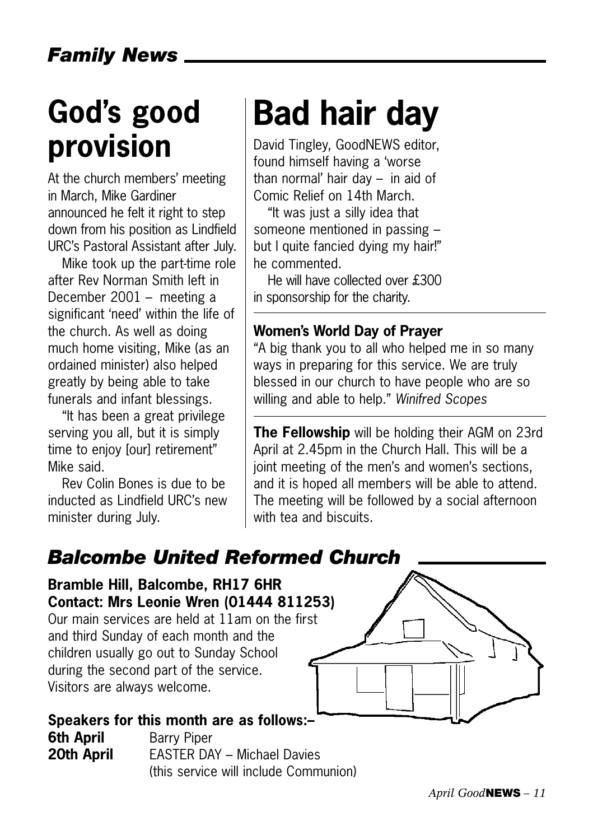## **God's good provision**

At the church members' meeting in March, Mike Gardiner announced he felt it right to step down from his position as Lindfield URC's Pastoral Assistant after July.

Mike took up the part-time role after Rev Norman Smith left in December 2001 – meeting a significant 'need' within the life of the church. As well as doing much home visiting, Mike (as an ordained minister) also helped greatly by being able to take funerals and infant blessings.

"It has been a great privilege serving you all, but it is simply time to enjoy [our] retirement" Mike said.

Rev Colin Bones is due to be inducted as Lindfield URC's new minister during July.

## **Bad hair day**

David Tingley, GoodNEWS editor, found himself having a 'worse than normal' hair day – in aid of Comic Relief on 14th March.

"It was just a silly idea that someone mentioned in passing – but I quite fancied dying my hair!" he commented.

He will have collected over £300 in sponsorship for the charity.

#### **Women's World Day of Prayer**

"A big thank you to all who helped me in so many ways in preparing for this service. We are truly blessed in our church to have people who are so willing and able to help." *Winifred Scopes*

**The Fellowship** will be holding their AGM on 23rd April at 2.45pm in the Church Hall. This will be a joint meeting of the men's and women's sections, and it is hoped all members will be able to attend. The meeting will be followed by a social afternoon with tea and biscuits.

#### *Balcombe United Reformed Church*

**Bramble Hill, Balcombe, RH17 6HR Contact: Mrs Leonie Wren (01444 811253)** Our main services are held at 11am on the first and third Sunday of each month and the children usually go out to Sunday School during the second part of the service. Visitors are always welcome.

**Speakers for this month are as follows:– 6th April** Barry Piper **20th April EASTER DAY – Michael Davies** (this service will include Communion)

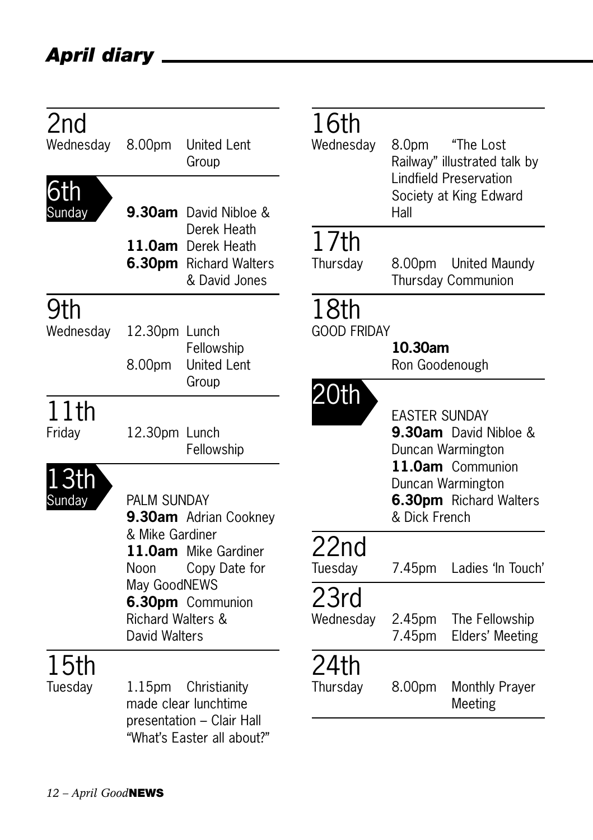### *April diary*

| 2nd<br>Wednesday<br>6th<br>Sunday | 8.00pm                                             | <b>United Lent</b><br>Group<br>9.30am David Nibloe &                                | 16th<br>Wednesday          | 8.0pm<br>Hall             | "The Lost<br>Railway" illustrated talk by<br><b>Lindfield Preservation</b><br>Society at King Edward |
|-----------------------------------|----------------------------------------------------|-------------------------------------------------------------------------------------|----------------------------|---------------------------|------------------------------------------------------------------------------------------------------|
|                                   |                                                    | Derek Heath<br>11.0am Derek Heath<br><b>6.30pm</b> Richard Walters<br>& David Jones | 17th<br>Thursday           | 8.00pm                    | <b>United Maundy</b><br>Thursday Communion                                                           |
| 9th<br>Wednesday                  | 12.30pm Lunch<br>8.00pm                            | Fellowship<br><b>United Lent</b><br>Group                                           | 18th<br><b>GOOD FRIDAY</b> | 10.30am<br>Ron Goodenough |                                                                                                      |
| 11th<br>Friday                    | 12.30pm Lunch                                      | Fellowship                                                                          | 20th                       | <b>EASTER SUNDAY</b>      | 9.30am David Nibloe &<br>Duncan Warmington                                                           |
| 13th<br>Sunday                    | PALM SUNDAY                                        | 9.30am Adrian Cookney                                                               |                            | & Dick French             | 11.0am Communion<br>Duncan Warmington<br><b>6.30pm</b> Richard Walters                               |
|                                   | & Mike Gardiner<br>Noon                            | 11.0am Mike Gardiner<br>Copy Date for                                               | 22nd<br>Tuesday            | 7.45pm                    | Ladies 'In Touch'                                                                                    |
|                                   | May GoodNEWS<br>Richard Walters &<br>David Walters | 6.30pm Communion                                                                    | 23rd<br>Wednesday          | 2.45pm<br>7.45pm          | The Fellowship<br>Elders' Meeting                                                                    |
| 15th<br>Tuesday                   | 1.15 <sub>pm</sub>                                 | Christianity<br>made clear lunchtime<br>presentation - Clair Hall                   | 24th<br>Thursday           | 8.00pm                    | Monthly Prayer<br>Meeting                                                                            |
|                                   |                                                    | "What's Faster all about?"                                                          |                            |                           |                                                                                                      |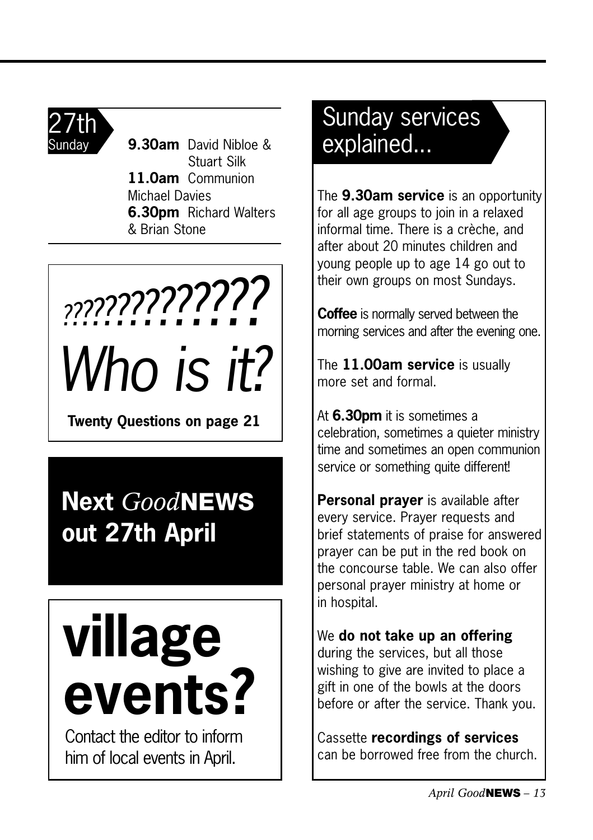

Sunday **9.30am** David Nibloe & Stuart Silk **11.0am** Communion Michael Davies **6.30pm** Richard Walters & Brian Stone

 $\overline{a}$ *Who is it? ??????????????*

**Twenty Questions on page 21**

### **Next** *Good***NEWS out 27th April**

# **village events?**

Contact the editor to inform him of local events in April.

### Sunday services explained...

The **9.30am service** is an opportunity for all age groups to join in a relaxed informal time. There is a crèche, and after about 20 minutes children and young people up to age 14 go out to their own groups on most Sundays.

**Coffee** is normally served between the morning services and after the evening one.

The **11.00am service** is usually more set and formal.

At **6.30pm** it is sometimes a celebration, sometimes a quieter ministry time and sometimes an open communion service or something quite different!

**Personal prayer** is available after every service. Prayer requests and brief statements of praise for answered prayer can be put in the red book on the concourse table. We can also offer personal prayer ministry at home or in hospital.

We **do not take up an offering** during the services, but all those wishing to give are invited to place a gift in one of the bowls at the doors before or after the service. Thank you.

Cassette **recordings of services** can be borrowed free from the church.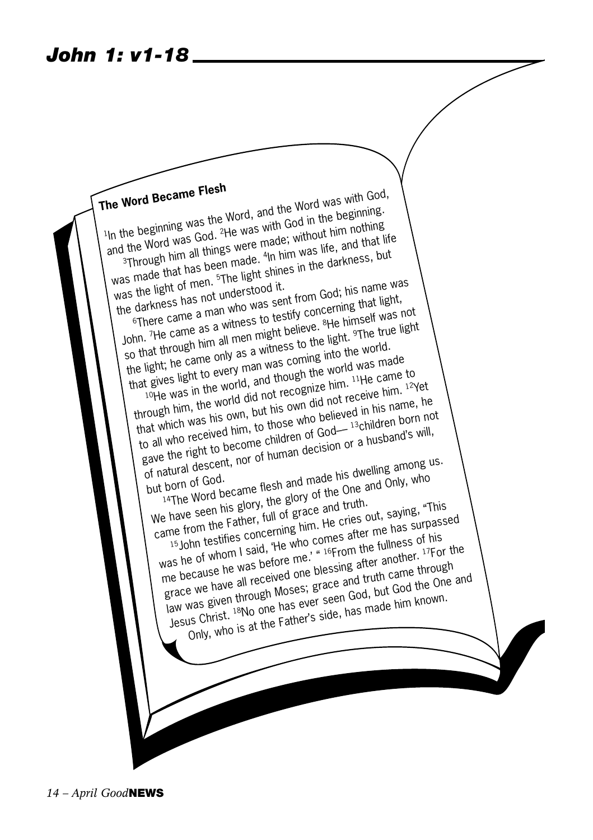**The Word Became Flesh**  The Word Became Flest<br><sup>1</sup>In the beginning was the Word, and the Word was with God,<br><sup>1</sup>In the beginning was the Was with God in the beginning It the beginning was the Word, and the word in the beginning.<br>In the beginning was God. <sup>2</sup>He was with God in the hooting<br>and the Word was God. <sup>2</sup>He was without him nothing<br>3Through him all things made. <sup>4</sup>In him was life **Through him all things were made; without him nothing**  $\frac{3}{3}$ Through him all units made. 4<br>was made that has been made. 4 ade; without interest life<br>In him was life, and that life was the light of men. 5The light shines in the darkness, but<br>was the light of men. 5The light shines in the darkness has not understood it.  $\frac{1}{10}$  made.  $\frac{4 \ln \text{ him}}{10}$  was life.<br>The light shines in the darkness, but Was the light of men. The darkness has not understood it.<br>the darkness has not understood it.<br><sup>6</sup>There came a man who was sent from God; his name was not used to testify concerning that light, as the darkness has not uncedent from good, the that light,<br>
for the came as a witness to testify concerning that light,<br>
John. 7He came as a witness to testify concerning the himself was<br>
John. 7He came as a witness to th bit here canned as a witness to tool believe. 8<br>John. The came as a witness to the<br>so that through nim all men might believe. erning one<br>He himself was not<br>Light <sup>9</sup>The true light the light; he came only as a witness to the light. 9The true light that gives light to every man was coming into the world. 10He was in the world, and though the world was made through him, the world did not recognize him. <sup>11</sup>He came to that which was his own, but his own did not receive him. 12Yet to all who received him, to those who believed in his name, he gave the right to become children of God—13children born not of natural descent, nor of human decision or a husband's will,<br>but born of God.<br>but born of dod. but born of God.<br>
<sup>14</sup>The Word became flesh and made his given only, who<br>
We have seen his glory, the glory of the One and Only, who<br>
We have seen his gather, full of grace and truth. 14The Word became flesh and made his dwelling among us. came from the Father, full of grace and truth. 15John testifies concerning him. He cries out, saying, "This was he of whom I said, 'He who comes after me has surpassed was in or minute sale, the wife series are the fullness of his me because he was before me.' " 16From the fullness of his grace we have all received one blessing after another. 17For the law was given through Moses; grace and truth came through Jesus Christ. 18No one has ever seen God, but God the One and Only, who is at the Father's side, has made him known.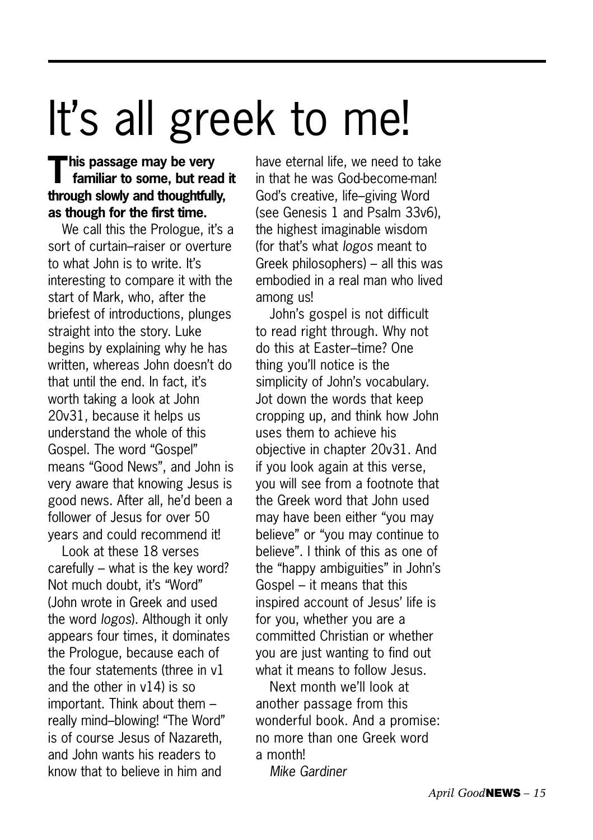## It's all greek to me!

#### **This passage may be very familiar to some, but read it through slowly and thoughtfully, as though for the first time.**

We call this the Prologue, it's a sort of curtain–raiser or overture to what John is to write. It's interesting to compare it with the start of Mark, who, after the briefest of introductions, plunges straight into the story. Luke begins by explaining why he has written, whereas John doesn't do that until the end. In fact, it's worth taking a look at John 20v31, because it helps us understand the whole of this Gospel. The word "Gospel" means "Good News", and John is very aware that knowing Jesus is good news. After all, he'd been a follower of Jesus for over 50 years and could recommend it!

Look at these 18 verses carefully – what is the key word? Not much doubt, it's "Word" (John wrote in Greek and used the word *logos*). Although it only appears four times, it dominates the Prologue, because each of the four statements (three in v1 and the other in v14) is so important. Think about them – really mind–blowing! "The Word" is of course Jesus of Nazareth, and John wants his readers to know that to believe in him and

have eternal life, we need to take in that he was God-become-man! God's creative, life–giving Word (see Genesis 1 and Psalm 33v6), the highest imaginable wisdom (for that's what *logos* meant to Greek philosophers) – all this was embodied in a real man who lived among us!

John's gospel is not difficult to read right through. Why not do this at Easter–time? One thing you'll notice is the simplicity of John's vocabulary. Jot down the words that keep cropping up, and think how John uses them to achieve his objective in chapter 20v31. And if you look again at this verse, you will see from a footnote that the Greek word that John used may have been either "you may believe" or "you may continue to believe". I think of this as one of the "happy ambiguities" in John's Gospel – it means that this inspired account of Jesus' life is for you, whether you are a committed Christian or whether you are just wanting to find out what it means to follow Jesus.

Next month we'll look at another passage from this wonderful book. And a promise: no more than one Greek word a month!

*Mike Gardiner*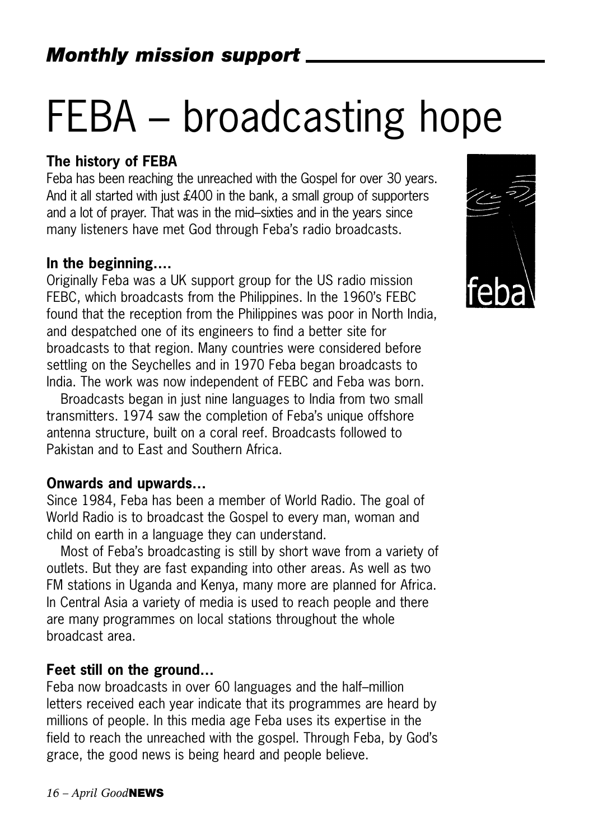## FEBA – broadcasting hope

#### **The history of FEBA**

Feba has been reaching the unreached with the Gospel for over 30 years. And it all started with just £400 in the bank, a small group of supporters and a lot of prayer. That was in the mid–sixties and in the years since many listeners have met God through Feba's radio broadcasts.

#### **In the beginning….**

Originally Feba was a UK support group for the US radio mission FEBC, which broadcasts from the Philippines. In the 1960's FEBC found that the reception from the Philippines was poor in North India, and despatched one of its engineers to find a better site for broadcasts to that region. Many countries were considered before settling on the Seychelles and in 1970 Feba began broadcasts to India. The work was now independent of FEBC and Feba was born.

Broadcasts began in just nine languages to India from two small transmitters. 1974 saw the completion of Feba's unique offshore antenna structure, built on a coral reef. Broadcasts followed to Pakistan and to East and Southern Africa.

#### **Onwards and upwards…**

Since 1984, Feba has been a member of World Radio. The goal of World Radio is to broadcast the Gospel to every man, woman and child on earth in a language they can understand.

Most of Feba's broadcasting is still by short wave from a variety of outlets. But they are fast expanding into other areas. As well as two FM stations in Uganda and Kenya, many more are planned for Africa. In Central Asia a variety of media is used to reach people and there are many programmes on local stations throughout the whole broadcast area.

#### **Feet still on the ground…**

Feba now broadcasts in over 60 languages and the half–million letters received each year indicate that its programmes are heard by millions of people. In this media age Feba uses its expertise in the field to reach the unreached with the gospel. Through Feba, by God's grace, the good news is being heard and people believe.

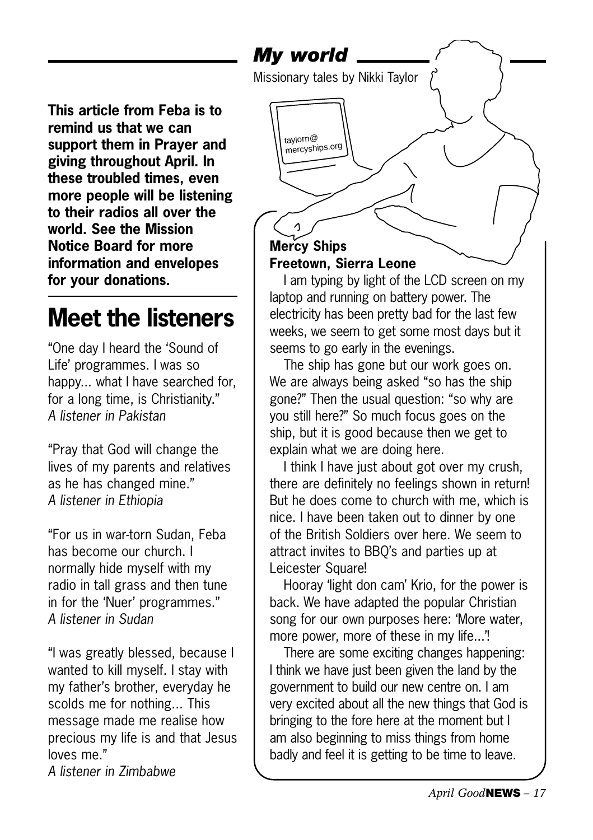*My world*

taylorn@ mercyships.org

Missionary tales by Nikki Taylor

**This article from Feba is to remind us that we can support them in Prayer and giving throughout April. In these troubled times, even more people will be listening to their radios all over the world. See the Mission Notice Board for more information and envelopes for your donations.** 

### **Meet the listeners**

"One day I heard the 'Sound of Life' programmes. I was so happy... what I have searched for, for a long time, is Christianity." *A listener in Pakistan*

"Pray that God will change the lives of my parents and relatives as he has changed mine." *A listener in Ethiopia*

"For us in war-torn Sudan, Feba has become our church. I normally hide myself with my radio in tall grass and then tune in for the 'Nuer' programmes." *A listener in Sudan*

"I was greatly blessed, because I wanted to kill myself. I stay with my father's brother, everyday he scolds me for nothing... This message made me realise how precious my life is and that Jesus loves me."

*A listener in Zimbabwe*

### **Mercy Ships Freetown, Sierra Leone**

I am typing by light of the LCD screen on my laptop and running on battery power. The electricity has been pretty bad for the last few weeks, we seem to get some most days but it seems to go early in the evenings.

The ship has gone but our work goes on. We are always being asked "so has the ship gone?" Then the usual question: "so why are you still here?" So much focus goes on the ship, but it is good because then we get to explain what we are doing here.

I think I have just about got over my crush. there are definitely no feelings shown in return! But he does come to church with me, which is nice. I have been taken out to dinner by one of the British Soldiers over here. We seem to attract invites to BBQ's and parties up at Leicester Square!

Hooray 'light don cam' Krio, for the power is back. We have adapted the popular Christian song for our own purposes here: 'More water, more power, more of these in my life...'!

There are some exciting changes happening: I think we have just been given the land by the government to build our new centre on. I am very excited about all the new things that God is bringing to the fore here at the moment but I am also beginning to miss things from home badly and feel it is getting to be time to leave.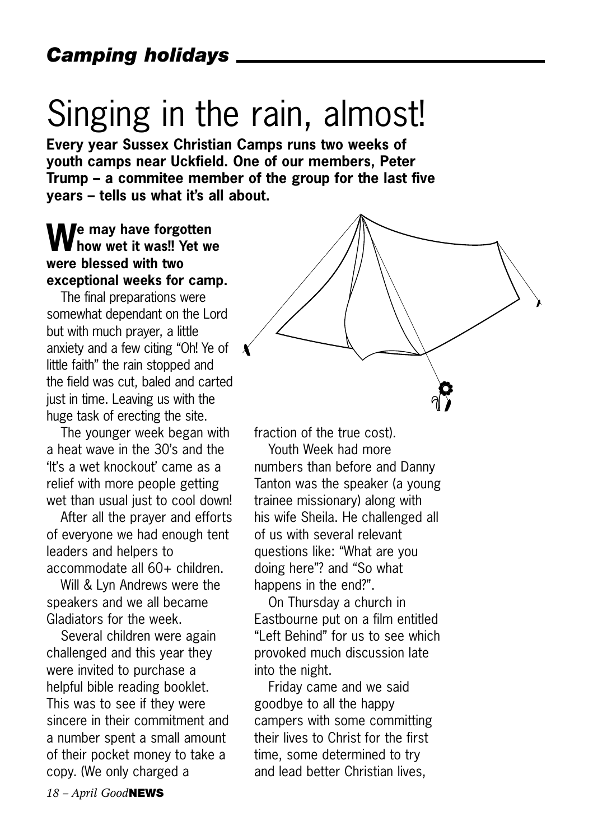## Singing in the rain, almost!

**Every year Sussex Christian Camps runs two weeks of youth camps near Uckfield. One of our members, Peter Trump – a commitee member of the group for the last five years – tells us what it's all about.**

#### **We may have forgotten how wet it was!! Yet we were blessed with two exceptional weeks for camp.**

The final preparations were somewhat dependant on the Lord but with much prayer, a little anxiety and a few citing "Oh! Ye of little faith" the rain stopped and the field was cut, baled and carted just in time. Leaving us with the huge task of erecting the site.

The younger week began with a heat wave in the 30's and the 'It's a wet knockout' came as a relief with more people getting wet than usual just to cool down!

After all the prayer and efforts of everyone we had enough tent leaders and helpers to accommodate all 60+ children.

Will & Lyn Andrews were the speakers and we all became Gladiators for the week.

Several children were again challenged and this year they were invited to purchase a helpful bible reading booklet. This was to see if they were sincere in their commitment and a number spent a small amount of their pocket money to take a copy. (We only charged a



fraction of the true cost).

Youth Week had more numbers than before and Danny Tanton was the speaker (a young trainee missionary) along with his wife Sheila. He challenged all of us with several relevant questions like: "What are you doing here"? and "So what happens in the end?".

On Thursday a church in Eastbourne put on a film entitled "Left Behind" for us to see which provoked much discussion late into the night.

Friday came and we said goodbye to all the happy campers with some committing their lives to Christ for the first time, some determined to try and lead better Christian lives,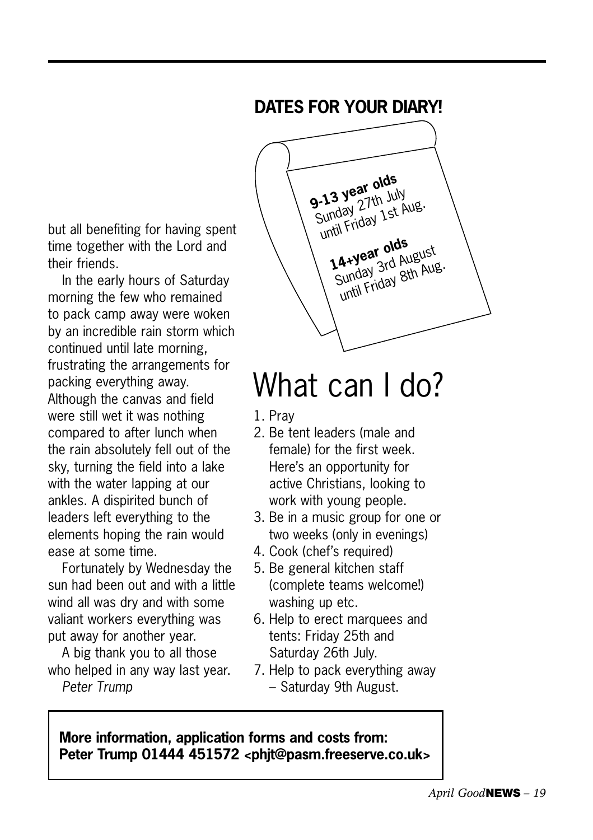#### **DATES FOR YOUR DIARY!**

but all benefiting for having spent time together with the Lord and their friends.

In the early hours of Saturday morning the few who remained to pack camp away were woken by an incredible rain storm which continued until late morning, frustrating the arrangements for packing everything away. Although the canvas and field were still wet it was nothing compared to after lunch when the rain absolutely fell out of the sky, turning the field into a lake with the water lapping at our ankles. A dispirited bunch of leaders left everything to the elements hoping the rain would ease at some time.

Fortunately by Wednesday the sun had been out and with a little wind all was dry and with some valiant workers everything was put away for another year.

A big thank you to all those who helped in any way last year. *Peter Trump*



## What can I do?

- 1. Pray
- 2. Be tent leaders (male and female) for the first week. Here's an opportunity for active Christians, looking to work with young people.
- 3. Be in a music group for one or two weeks (only in evenings)
- 4. Cook (chef's required)
- 5. Be general kitchen staff (complete teams welcome!) washing up etc.
- 6. Help to erect marquees and tents: Friday 25th and Saturday 26th July.
- 7. Help to pack everything away – Saturday 9th August.

**More information, application forms and costs from: Peter Trump 01444 451572 <phjt@pasm.freeserve.co.uk>**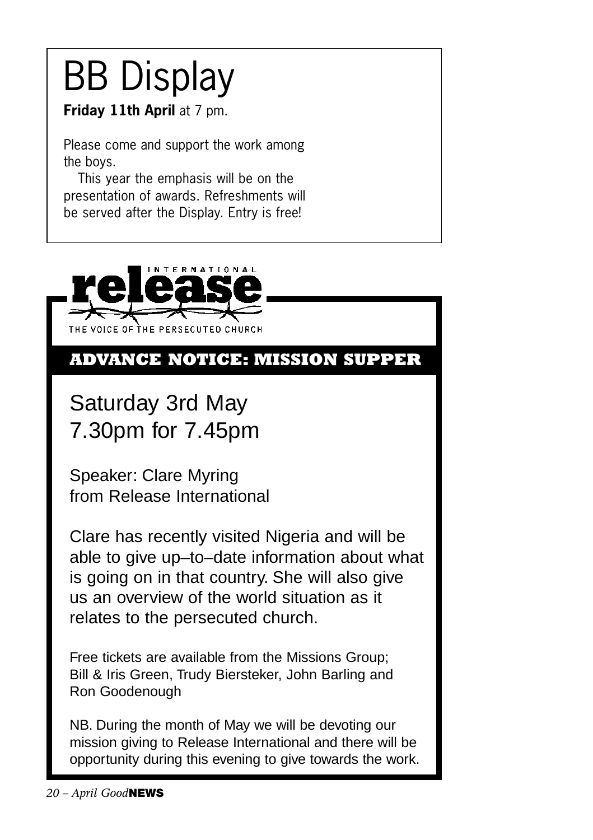## BB Display

**Friday 11th April at 7 pm.** 

Please come and support the work among the boys.

This year the emphasis will be on the presentation of awards. Refreshments will be served after the Display. Entry is free!



#### **ADVANCE NOTICE: MISSION SUPPER**

Saturday 3rd May 7.30pm for 7.45pm

Speaker: Clare Myring from Release International

Clare has recently visited Nigeria and will be able to give up–to–date information about what is going on in that country. She will also give us an overview of the world situation as it relates to the persecuted church.

Free tickets are available from the Missions Group; Bill & Iris Green, Trudy Biersteker, John Barling and Ron Goodenough

NB. During the month of May we will be devoting our mission giving to Release International and there will be opportunity during this evening to give towards the work.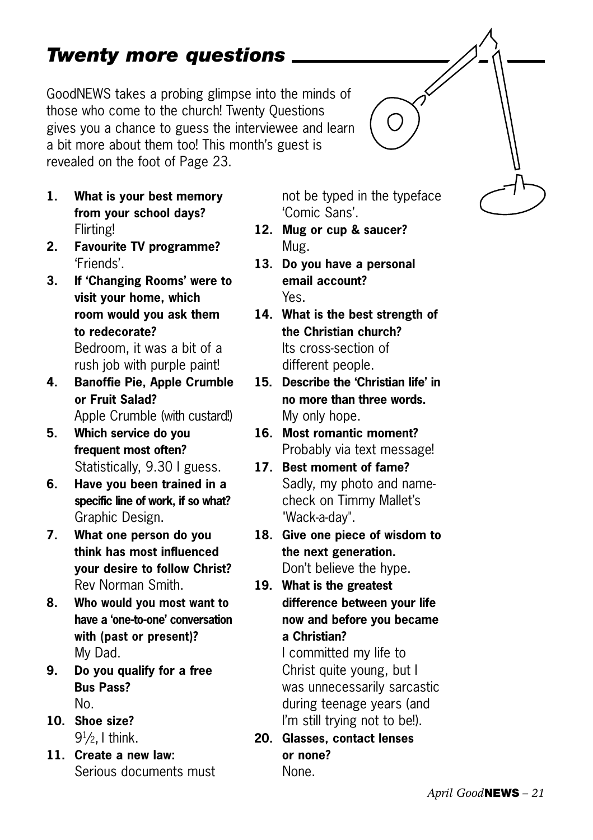#### *April Good***NEWS** *– 21*

#### *Twenty more questions*

GoodNEWS takes a probing glimpse into the minds of those who come to the church! Twenty Questions gives you a chance to guess the interviewee and learn a bit more about them too! This month's guest is revealed on the foot of Page 23.

- **1. What is your best memory from your school days?** Flirting!
- **2. Favourite TV programme?** 'Friends'.
- **3. If 'Changing Rooms' were to visit your home, which room would you ask them to redecorate?** Bedroom, it was a bit of a rush job with purple paint!
- **4. Banoffie Pie, Apple Crumble or Fruit Salad?** Apple Crumble (with custard!)
- **5. Which service do you frequent most often?** Statistically, 9.30 I guess.
- **6. Have you been trained in a specific line of work, if so what?** Graphic Design.
- **7. What one person do you think has most influenced your desire to follow Christ?** Rev Norman Smith.
- **8. Who would you most want to have a 'one-to-one' conversation with (past or present)?** My Dad.
- **9. Do you qualify for a free Bus Pass?** No.
- **10. Shoe size?** 91 /2, I think.
- **11. Create a new law:** Serious documents must

not be typed in the typeface 'Comic Sans'.

- **12. Mug or cup & saucer?** Mug.
- **13. Do you have a personal email account?** Yes.
- **14. What is the best strength of the Christian church?** Its cross-section of different people.
- **15. Describe the 'Christian life' in no more than three words.** My only hope.
- **16. Most romantic moment?** Probably via text message!
- **17. Best moment of fame?** Sadly, my photo and namecheck on Timmy Mallet's "Wack-a-day".
- **18. Give one piece of wisdom to the next generation.** Don't believe the hype.
- **19. What is the greatest difference between your life now and before you became a Christian?**

I committed my life to Christ quite young, but I was unnecessarily sarcastic during teenage years (and I'm still trying not to be!).

**20. Glasses, contact lenses or none?** None.

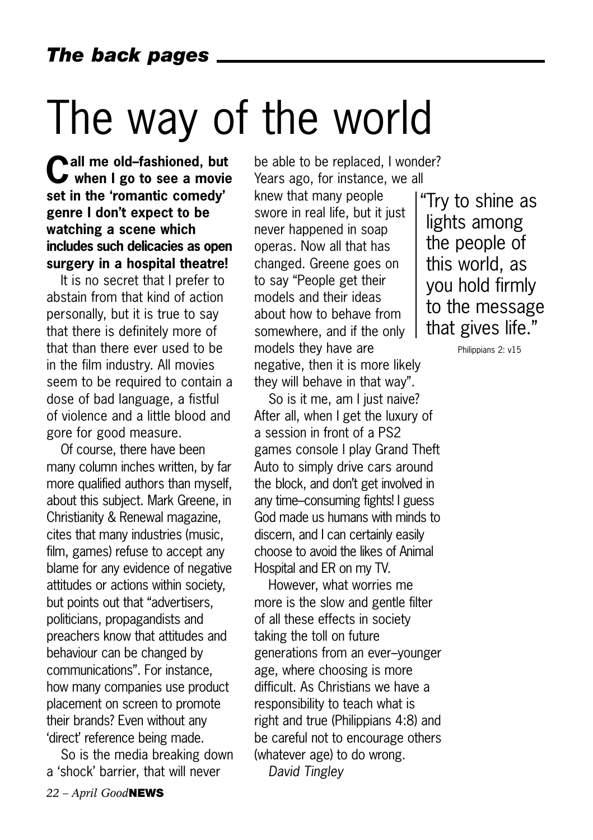## The way of the world

**Call me old–fashioned, but when I go to see a movie set in the 'romantic comedy' genre I don't expect to be watching a scene which includes such delicacies as open surgery in a hospital theatre!** 

It is no secret that I prefer to abstain from that kind of action personally, but it is true to say that there is definitely more of that than there ever used to be in the film industry. All movies seem to be required to contain a dose of bad language, a fistful of violence and a little blood and gore for good measure.

Of course, there have been many column inches written, by far more qualified authors than myself, about this subject. Mark Greene, in Christianity & Renewal magazine, cites that many industries (music, film, games) refuse to accept any blame for any evidence of negative attitudes or actions within society, but points out that "advertisers, politicians, propagandists and preachers know that attitudes and behaviour can be changed by communications". For instance, how many companies use product placement on screen to promote their brands? Even without any 'direct' reference being made.

So is the media breaking down a 'shock' barrier, that will never

be able to be replaced, I wonder? Years ago, for instance, we all knew that many people swore in real life, but it just never happened in soap operas. Now all that has changed. Greene goes on to say "People get their models and their ideas about how to behave from somewhere, and if the only models they have are negative, then it is more likely they will behave in that way".

So is it me, am I just naive? After all, when I get the luxury of a session in front of a PS2 games console I play Grand Theft Auto to simply drive cars around the block, and don't get involved in any time–consuming fights! I guess God made us humans with minds to discern, and I can certainly easily choose to avoid the likes of Animal Hospital and ER on my TV.

However, what worries me more is the slow and gentle filter of all these effects in society taking the toll on future generations from an ever–younger age, where choosing is more difficult. As Christians we have a responsibility to teach what is right and true (Philippians 4:8) and be careful not to encourage others (whatever age) to do wrong.

*David Tingley* 

"Try to shine as lights among the people of this world, as you hold firmly to the message that gives life."

Philippians 2: v15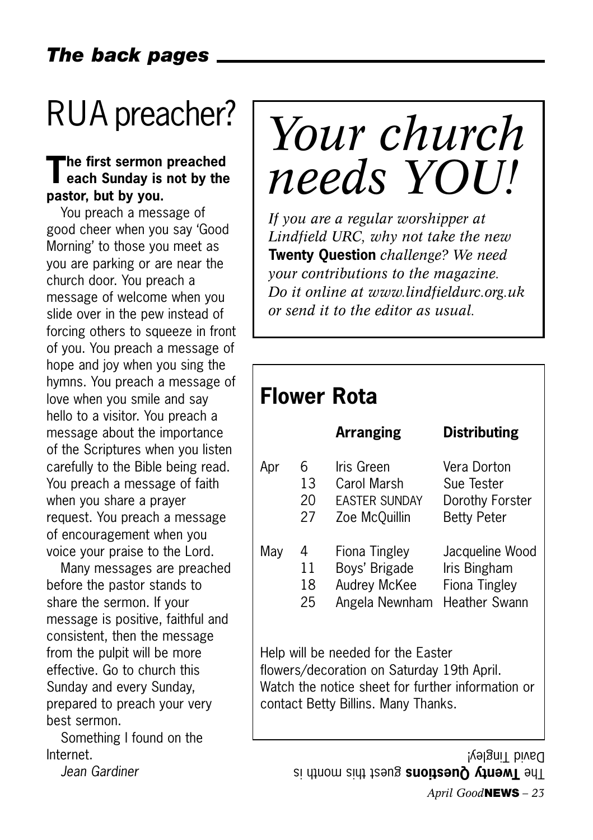## RUA preacher?

### **The first sermon preached each Sunday is not by the pastor, but by you.**

You preach a message of good cheer when you say 'Good Morning' to those you meet as you are parking or are near the church door. You preach a message of welcome when you slide over in the pew instead of forcing others to squeeze in front of you. You preach a message of hope and joy when you sing the hymns. You preach a message of love when you smile and say hello to a visitor. You preach a message about the importance of the Scriptures when you listen carefully to the Bible being read. You preach a message of faith when you share a prayer request. You preach a message of encouragement when you voice your praise to the Lord.

Many messages are preached before the pastor stands to share the sermon. If your message is positive, faithful and consistent, then the message from the pulpit will be more effective. Go to church this Sunday and every Sunday, prepared to preach your very best sermon.

Something I found on the Internet.

*Jean Gardiner*

## *Your church needs YOU!*

*If you are a regular worshipper at Lindfield URC, why not take the new* **Twenty Question** *challenge? We need your contributions to the magazine. Do it online at www.lindfieldurc.org.uk or send it to the editor as usual.*

#### **Flower Rota**

|     |    | <b>Arranging</b>     | <b>Distributing</b> |
|-----|----|----------------------|---------------------|
| Apr | 6  | Iris Green           | Vera Dorton         |
|     | 13 | Carol Marsh          | Sue Tester          |
|     | 20 | <b>FASTER SUNDAY</b> | Dorothy Forster     |
|     | 27 | Zoe McQuillin        | <b>Betty Peter</b>  |
| May | 4  | Fiona Tingley        | Jacqueline Wood     |
|     | 11 | Boys' Brigade        | Iris Bingham        |
|     | 18 | Audrey McKee         | Fiona Tingley       |
|     | 25 | Angela Newnham       | Heather Swann       |

Help will be needed for the Easter flowers/decoration on Saturday 19th April. Watch the notice sheet for further information or contact Betty Billins. Many Thanks.